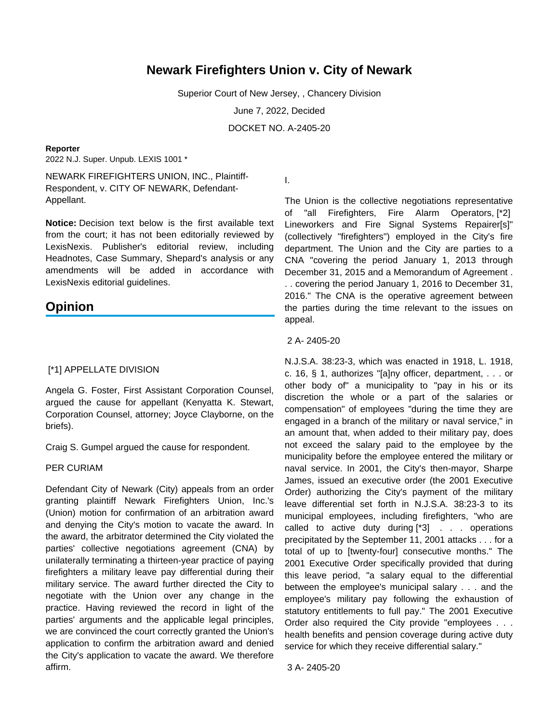# **Newark Firefighters Union v. City of Newark**

Superior Court of New Jersey, , Chancery Division

June 7, 2022, Decided

DOCKET NO. A-2405-20

#### **Reporter**

2022 N.J. Super. Unpub. LEXIS 1001 \*

NEWARK FIREFIGHTERS UNION, INC., Plaintiff-Respondent, v. CITY OF NEWARK, Defendant-Appellant.

**Notice:** Decision text below is the first available text from the court; it has not been editorially reviewed by LexisNexis. Publisher's editorial review, including Headnotes, Case Summary, Shepard's analysis or any amendments will be added in accordance with LexisNexis editorial guidelines.

# **Opinion**

## [\*1] APPELLATE DIVISION

Angela G. Foster, First Assistant Corporation Counsel, argued the cause for appellant (Kenyatta K. Stewart, Corporation Counsel, attorney; Joyce Clayborne, on the briefs).

Craig S. Gumpel argued the cause for respondent.

#### PER CURIAM

Defendant City of Newark (City) appeals from an order granting plaintiff Newark Firefighters Union, Inc.'s (Union) motion for confirmation of an arbitration award and denying the City's motion to vacate the award. In the award, the arbitrator determined the City violated the parties' collective negotiations agreement (CNA) by unilaterally terminating a thirteen-year practice of paying firefighters a military leave pay differential during their military service. The award further directed the City to negotiate with the Union over any change in the practice. Having reviewed the record in light of the parties' arguments and the applicable legal principles, we are convinced the court correctly granted the Union's application to confirm the arbitration award and denied the City's application to vacate the award. We therefore affirm.

I.

The Union is the collective negotiations representative of "all Firefighters, Fire Alarm Operators, [\*2] Lineworkers and Fire Signal Systems Repairer[s]" (collectively "firefighters") employed in the City's fire department. The Union and the City are parties to a CNA "covering the period January 1, 2013 through December 31, 2015 and a Memorandum of Agreement . . . covering the period January 1, 2016 to December 31, 2016." The CNA is the operative agreement between the parties during the time relevant to the issues on appeal.

#### 2 A- 2405-20

N.J.S.A. 38:23-3, which was enacted in 1918, L. 1918, c. 16, § 1, authorizes "[a]ny officer, department, . . . or other body of" a municipality to "pay in his or its discretion the whole or a part of the salaries or compensation" of employees "during the time they are engaged in a branch of the military or naval service," in an amount that, when added to their military pay, does not exceed the salary paid to the employee by the municipality before the employee entered the military or naval service. In 2001, the City's then-mayor, Sharpe James, issued an executive order (the 2001 Executive Order) authorizing the City's payment of the military leave differential set forth in N.J.S.A. 38:23-3 to its municipal employees, including firefighters, "who are called to active duty during  $[^*3]$  . . . operations precipitated by the September 11, 2001 attacks . . . for a total of up to [twenty-four] consecutive months." The 2001 Executive Order specifically provided that during this leave period, "a salary equal to the differential between the employee's municipal salary . . . and the employee's military pay following the exhaustion of statutory entitlements to full pay." The 2001 Executive Order also required the City provide "employees . . . health benefits and pension coverage during active duty service for which they receive differential salary."

3 A- 2405-20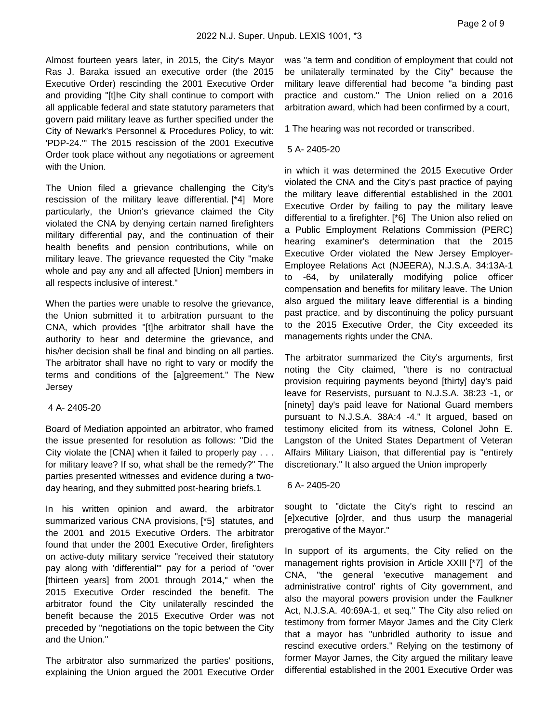Almost fourteen years later, in 2015, the City's Mayor Ras J. Baraka issued an executive order (the 2015 Executive Order) rescinding the 2001 Executive Order and providing "[t]he City shall continue to comport with all applicable federal and state statutory parameters that govern paid military leave as further specified under the City of Newark's Personnel & Procedures Policy, to wit: 'PDP-24.'" The 2015 rescission of the 2001 Executive Order took place without any negotiations or agreement with the Union.

The Union filed a grievance challenging the City's rescission of the military leave differential. [\*4] More particularly, the Union's grievance claimed the City violated the CNA by denying certain named firefighters military differential pay, and the continuation of their health benefits and pension contributions, while on military leave. The grievance requested the City "make whole and pay any and all affected [Union] members in all respects inclusive of interest."

When the parties were unable to resolve the grievance, the Union submitted it to arbitration pursuant to the CNA, which provides "[t]he arbitrator shall have the authority to hear and determine the grievance, and his/her decision shall be final and binding on all parties. The arbitrator shall have no right to vary or modify the terms and conditions of the [a]greement." The New **Jersey** 

# 4 A- 2405-20

Board of Mediation appointed an arbitrator, who framed the issue presented for resolution as follows: "Did the City violate the [CNA] when it failed to properly pay . . . for military leave? If so, what shall be the remedy?" The parties presented witnesses and evidence during a twoday hearing, and they submitted post-hearing briefs.1

In his written opinion and award, the arbitrator summarized various CNA provisions, [\*5] statutes, and the 2001 and 2015 Executive Orders. The arbitrator found that under the 2001 Executive Order, firefighters on active-duty military service "received their statutory pay along with 'differential'" pay for a period of "over [thirteen years] from 2001 through 2014," when the 2015 Executive Order rescinded the benefit. The arbitrator found the City unilaterally rescinded the benefit because the 2015 Executive Order was not preceded by "negotiations on the topic between the City and the Union."

The arbitrator also summarized the parties' positions, explaining the Union argued the 2001 Executive Order was "a term and condition of employment that could not be unilaterally terminated by the City" because the military leave differential had become "a binding past practice and custom." The Union relied on a 2016 arbitration award, which had been confirmed by a court,

1 The hearing was not recorded or transcribed.

# 5 A- 2405-20

in which it was determined the 2015 Executive Order violated the CNA and the City's past practice of paying the military leave differential established in the 2001 Executive Order by failing to pay the military leave differential to a firefighter. [\*6] The Union also relied on a Public Employment Relations Commission (PERC) hearing examiner's determination that the 2015 Executive Order violated the New Jersey Employer-Employee Relations Act (NJEERA), N.J.S.A. 34:13A-1 to -64, by unilaterally modifying police officer compensation and benefits for military leave. The Union also argued the military leave differential is a binding past practice, and by discontinuing the policy pursuant to the 2015 Executive Order, the City exceeded its managements rights under the CNA.

The arbitrator summarized the City's arguments, first noting the City claimed, "there is no contractual provision requiring payments beyond [thirty] day's paid leave for Reservists, pursuant to N.J.S.A. 38:23 -1, or [ninety] day's paid leave for National Guard members pursuant to N.J.S.A. 38A:4 -4." It argued, based on testimony elicited from its witness, Colonel John E. Langston of the United States Department of Veteran Affairs Military Liaison, that differential pay is "entirely discretionary." It also argued the Union improperly

### 6 A- 2405-20

sought to "dictate the City's right to rescind an [e]xecutive [o]rder, and thus usurp the managerial prerogative of the Mayor."

In support of its arguments, the City relied on the management rights provision in Article XXIII [\*7] of the CNA, "the general 'executive management and administrative control' rights of City government, and also the mayoral powers provision under the Faulkner Act, N.J.S.A. 40:69A-1, et seq." The City also relied on testimony from former Mayor James and the City Clerk that a mayor has "unbridled authority to issue and rescind executive orders." Relying on the testimony of former Mayor James, the City argued the military leave differential established in the 2001 Executive Order was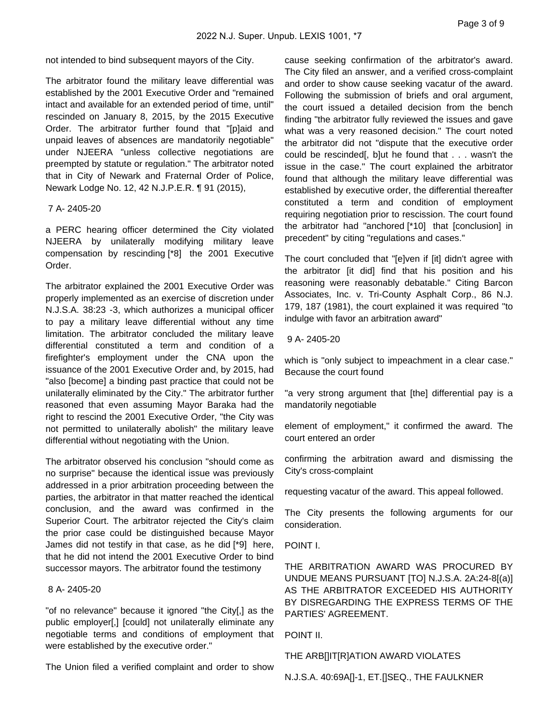not intended to bind subsequent mayors of the City.

The arbitrator found the military leave differential was established by the 2001 Executive Order and "remained intact and available for an extended period of time, until" rescinded on January 8, 2015, by the 2015 Executive Order. The arbitrator further found that "[p]aid and unpaid leaves of absences are mandatorily negotiable" under NJEERA "unless collective negotiations are preempted by statute or regulation." The arbitrator noted that in City of Newark and Fraternal Order of Police, Newark Lodge No. 12, 42 N.J.P.E.R. ¶ 91 (2015),

### 7 A- 2405-20

a PERC hearing officer determined the City violated NJEERA by unilaterally modifying military leave compensation by rescinding [\*8] the 2001 Executive Order.

The arbitrator explained the 2001 Executive Order was properly implemented as an exercise of discretion under N.J.S.A. 38:23 -3, which authorizes a municipal officer to pay a military leave differential without any time limitation. The arbitrator concluded the military leave differential constituted a term and condition of a firefighter's employment under the CNA upon the issuance of the 2001 Executive Order and, by 2015, had "also [become] a binding past practice that could not be unilaterally eliminated by the City." The arbitrator further reasoned that even assuming Mayor Baraka had the right to rescind the 2001 Executive Order, "the City was not permitted to unilaterally abolish" the military leave differential without negotiating with the Union.

The arbitrator observed his conclusion "should come as no surprise" because the identical issue was previously addressed in a prior arbitration proceeding between the parties, the arbitrator in that matter reached the identical conclusion, and the award was confirmed in the Superior Court. The arbitrator rejected the City's claim the prior case could be distinguished because Mayor James did not testify in that case, as he did [\*9] here, that he did not intend the 2001 Executive Order to bind successor mayors. The arbitrator found the testimony

# 8 A- 2405-20

"of no relevance" because it ignored "the City[,] as the public employer[,] [could] not unilaterally eliminate any negotiable terms and conditions of employment that were established by the executive order."

The Union filed a verified complaint and order to show

cause seeking confirmation of the arbitrator's award. The City filed an answer, and a verified cross-complaint and order to show cause seeking vacatur of the award. Following the submission of briefs and oral argument, the court issued a detailed decision from the bench finding "the arbitrator fully reviewed the issues and gave what was a very reasoned decision." The court noted the arbitrator did not "dispute that the executive order could be rescinded[, b]ut he found that . . . wasn't the issue in the case." The court explained the arbitrator found that although the military leave differential was established by executive order, the differential thereafter constituted a term and condition of employment requiring negotiation prior to rescission. The court found the arbitrator had "anchored [\*10] that [conclusion] in precedent" by citing "regulations and cases."

The court concluded that "[e]ven if [it] didn't agree with the arbitrator [it did] find that his position and his reasoning were reasonably debatable." Citing Barcon Associates, Inc. v. Tri-County Asphalt Corp., 86 N.J. 179, 187 (1981), the court explained it was required "to indulge with favor an arbitration award"

## 9 A- 2405-20

which is "only subject to impeachment in a clear case." Because the court found

"a very strong argument that [the] differential pay is a mandatorily negotiable

element of employment," it confirmed the award. The court entered an order

confirming the arbitration award and dismissing the City's cross-complaint

requesting vacatur of the award. This appeal followed.

The City presents the following arguments for our consideration.

POINT I.

THE ARBITRATION AWARD WAS PROCURED BY UNDUE MEANS PURSUANT [TO] N.J.S.A. 2A:24-8[(a)] AS THE ARBITRATOR EXCEEDED HIS AUTHORITY BY DISREGARDING THE EXPRESS TERMS OF THE PARTIES' AGREEMENT.

POINT II.

THE ARB[]IT[R]ATION AWARD VIOLATES

N.J.S.A. 40:69A[]-1, ET.[]SEQ., THE FAULKNER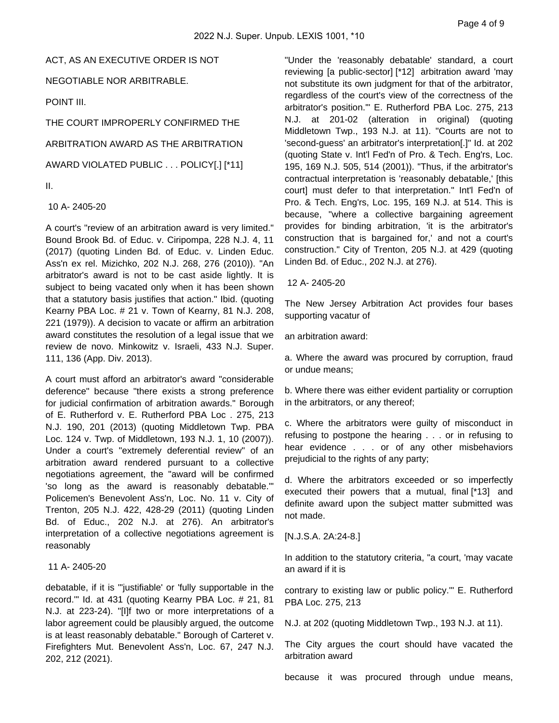### ACT, AS AN EXECUTIVE ORDER IS NOT

NEGOTIABLE NOR ARBITRABLE.

POINT III.

THE COURT IMPROPERLY CONFIRMED THE

ARBITRATION AWARD AS THE ARBITRATION

AWARD VIOLATED PUBLIC . . . POLICY[.] [\*11]

II.

10 A- 2405-20

A court's "review of an arbitration award is very limited." Bound Brook Bd. of Educ. v. Ciripompa, 228 N.J. 4, 11 (2017) (quoting Linden Bd. of Educ. v. Linden Educ. Ass'n ex rel. Mizichko, 202 N.J. 268, 276 (2010)). "An arbitrator's award is not to be cast aside lightly. It is subject to being vacated only when it has been shown that a statutory basis justifies that action." Ibid. (quoting Kearny PBA Loc. # 21 v. Town of Kearny, 81 N.J. 208, 221 (1979)). A decision to vacate or affirm an arbitration award constitutes the resolution of a legal issue that we review de novo. Minkowitz v. Israeli, 433 N.J. Super. 111, 136 (App. Div. 2013).

A court must afford an arbitrator's award "considerable deference" because "there exists a strong preference for judicial confirmation of arbitration awards." Borough of E. Rutherford v. E. Rutherford PBA Loc . 275, 213 N.J. 190, 201 (2013) (quoting Middletown Twp. PBA Loc. 124 v. Twp. of Middletown, 193 N.J. 1, 10 (2007)). Under a court's "extremely deferential review" of an arbitration award rendered pursuant to a collective negotiations agreement, the "award will be confirmed 'so long as the award is reasonably debatable.'" Policemen's Benevolent Ass'n, Loc. No. 11 v. City of Trenton, 205 N.J. 422, 428-29 (2011) (quoting Linden Bd. of Educ., 202 N.J. at 276). An arbitrator's interpretation of a collective negotiations agreement is reasonably

# 11 A- 2405-20

debatable, if it is "'justifiable' or 'fully supportable in the record.'" Id. at 431 (quoting Kearny PBA Loc. # 21, 81 N.J. at 223-24). "[I]f two or more interpretations of a labor agreement could be plausibly argued, the outcome is at least reasonably debatable." Borough of Carteret v. Firefighters Mut. Benevolent Ass'n, Loc. 67, 247 N.J. 202, 212 (2021).

"Under the 'reasonably debatable' standard, a court reviewing [a public-sector] [\*12] arbitration award 'may not substitute its own judgment for that of the arbitrator, regardless of the court's view of the correctness of the arbitrator's position.'" E. Rutherford PBA Loc. 275, 213 N.J. at 201-02 (alteration in original) (quoting Middletown Twp., 193 N.J. at 11). "Courts are not to 'second-guess' an arbitrator's interpretation[.]" Id. at 202 (quoting State v. Int'l Fed'n of Pro. & Tech. Eng'rs, Loc. 195, 169 N.J. 505, 514 (2001)). "Thus, if the arbitrator's contractual interpretation is 'reasonably debatable,' [this court] must defer to that interpretation." Int'l Fed'n of Pro. & Tech. Eng'rs, Loc. 195, 169 N.J. at 514. This is because, "where a collective bargaining agreement provides for binding arbitration, 'it is the arbitrator's construction that is bargained for,' and not a court's construction." City of Trenton, 205 N.J. at 429 (quoting Linden Bd. of Educ., 202 N.J. at 276).

12 A- 2405-20

The New Jersey Arbitration Act provides four bases supporting vacatur of

an arbitration award:

a. Where the award was procured by corruption, fraud or undue means;

b. Where there was either evident partiality or corruption in the arbitrators, or any thereof;

c. Where the arbitrators were guilty of misconduct in refusing to postpone the hearing . . . or in refusing to hear evidence . . . or of any other misbehaviors prejudicial to the rights of any party;

d. Where the arbitrators exceeded or so imperfectly executed their powers that a mutual, final [\*13] and definite award upon the subject matter submitted was not made.

[N.J.S.A. 2A:24-8.]

In addition to the statutory criteria, "a court, 'may vacate an award if it is

contrary to existing law or public policy.'" E. Rutherford PBA Loc. 275, 213

N.J. at 202 (quoting Middletown Twp., 193 N.J. at 11).

The City argues the court should have vacated the arbitration award

because it was procured through undue means,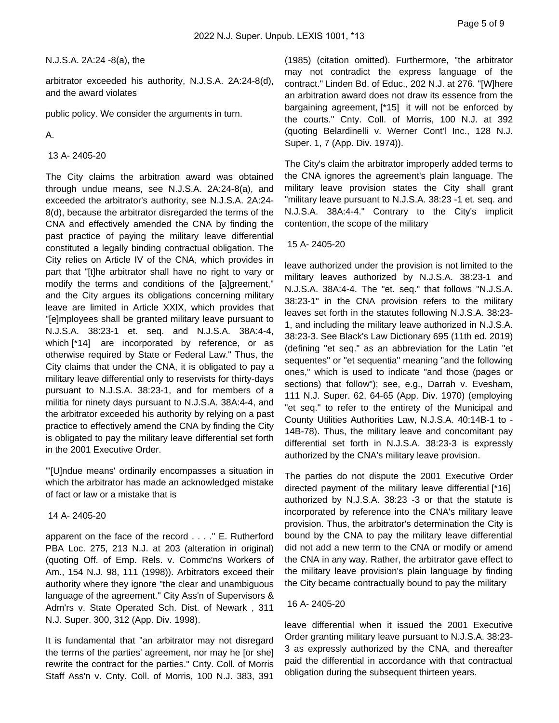N.J.S.A. 2A:24 -8(a), the

arbitrator exceeded his authority, N.J.S.A. 2A:24-8(d), and the award violates

public policy. We consider the arguments in turn.

A.

## 13 A- 2405-20

The City claims the arbitration award was obtained through undue means, see N.J.S.A. 2A:24-8(a), and exceeded the arbitrator's authority, see N.J.S.A. 2A:24- 8(d), because the arbitrator disregarded the terms of the CNA and effectively amended the CNA by finding the past practice of paying the military leave differential constituted a legally binding contractual obligation. The City relies on Article IV of the CNA, which provides in part that "[t]he arbitrator shall have no right to vary or modify the terms and conditions of the [a]greement," and the City argues its obligations concerning military leave are limited in Article XXIX, which provides that "[e]mployees shall be granted military leave pursuant to N.J.S.A. 38:23-1 et. seq. and N.J.S.A. 38A:4-4, which [\*14] are incorporated by reference, or as otherwise required by State or Federal Law." Thus, the City claims that under the CNA, it is obligated to pay a military leave differential only to reservists for thirty-days pursuant to N.J.S.A. 38:23-1, and for members of a militia for ninety days pursuant to N.J.S.A. 38A:4-4, and the arbitrator exceeded his authority by relying on a past practice to effectively amend the CNA by finding the City is obligated to pay the military leave differential set forth in the 2001 Executive Order.

"'[U]ndue means' ordinarily encompasses a situation in which the arbitrator has made an acknowledged mistake of fact or law or a mistake that is

### 14 A- 2405-20

apparent on the face of the record . . . ." E. Rutherford PBA Loc. 275, 213 N.J. at 203 (alteration in original) (quoting Off. of Emp. Rels. v. Commc'ns Workers of Am., 154 N.J. 98, 111 (1998)). Arbitrators exceed their authority where they ignore "the clear and unambiguous language of the agreement." City Ass'n of Supervisors & Adm'rs v. State Operated Sch. Dist. of Newark , 311 N.J. Super. 300, 312 (App. Div. 1998).

It is fundamental that "an arbitrator may not disregard the terms of the parties' agreement, nor may he [or she] rewrite the contract for the parties." Cnty. Coll. of Morris Staff Ass'n v. Cnty. Coll. of Morris, 100 N.J. 383, 391

(1985) (citation omitted). Furthermore, "the arbitrator may not contradict the express language of the contract." Linden Bd. of Educ., 202 N.J. at 276. "[W]here an arbitration award does not draw its essence from the bargaining agreement, [\*15] it will not be enforced by the courts." Cnty. Coll. of Morris, 100 N.J. at 392 (quoting Belardinelli v. Werner Cont'l Inc., 128 N.J. Super. 1, 7 (App. Div. 1974)).

The City's claim the arbitrator improperly added terms to the CNA ignores the agreement's plain language. The military leave provision states the City shall grant "military leave pursuant to N.J.S.A. 38:23 -1 et. seq. and N.J.S.A. 38A:4-4." Contrary to the City's implicit contention, the scope of the military

### 15 A- 2405-20

leave authorized under the provision is not limited to the military leaves authorized by N.J.S.A. 38:23-1 and N.J.S.A. 38A:4-4. The "et. seq." that follows "N.J.S.A. 38:23-1" in the CNA provision refers to the military leaves set forth in the statutes following N.J.S.A. 38:23- 1, and including the military leave authorized in N.J.S.A. 38:23-3. See Black's Law Dictionary 695 (11th ed. 2019) (defining "et seq." as an abbreviation for the Latin "et sequentes" or "et sequentia" meaning "and the following ones," which is used to indicate "and those (pages or sections) that follow"); see, e.g., Darrah v. Evesham, 111 N.J. Super. 62, 64-65 (App. Div. 1970) (employing "et seq." to refer to the entirety of the Municipal and County Utilities Authorities Law, N.J.S.A. 40:14B-1 to - 14B-78). Thus, the military leave and concomitant pay differential set forth in N.J.S.A. 38:23-3 is expressly authorized by the CNA's military leave provision.

The parties do not dispute the 2001 Executive Order directed payment of the military leave differential [\*16] authorized by N.J.S.A. 38:23 -3 or that the statute is incorporated by reference into the CNA's military leave provision. Thus, the arbitrator's determination the City is bound by the CNA to pay the military leave differential did not add a new term to the CNA or modify or amend the CNA in any way. Rather, the arbitrator gave effect to the military leave provision's plain language by finding the City became contractually bound to pay the military

### 16 A- 2405-20

leave differential when it issued the 2001 Executive Order granting military leave pursuant to N.J.S.A. 38:23- 3 as expressly authorized by the CNA, and thereafter paid the differential in accordance with that contractual obligation during the subsequent thirteen years.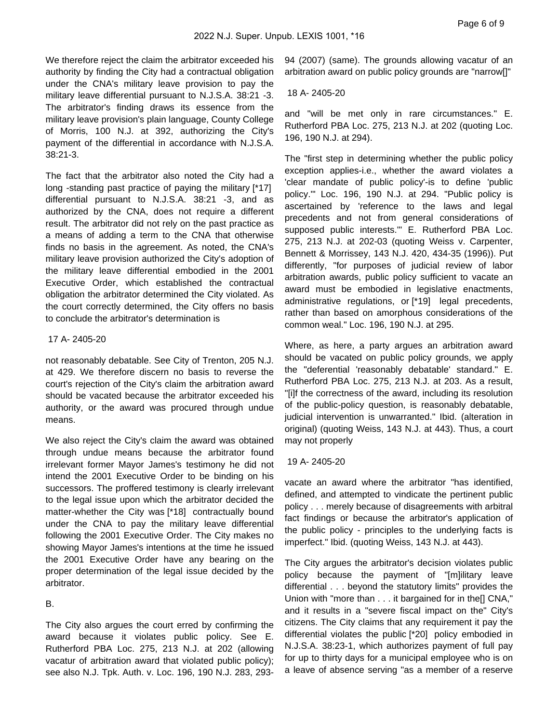We therefore reject the claim the arbitrator exceeded his authority by finding the City had a contractual obligation under the CNA's military leave provision to pay the military leave differential pursuant to N.J.S.A. 38:21 -3. The arbitrator's finding draws its essence from the military leave provision's plain language, County College of Morris, 100 N.J. at 392, authorizing the City's payment of the differential in accordance with N.J.S.A. 38:21-3.

The fact that the arbitrator also noted the City had a long -standing past practice of paying the military [\*17] differential pursuant to N.J.S.A. 38:21 -3, and as authorized by the CNA, does not require a different result. The arbitrator did not rely on the past practice as a means of adding a term to the CNA that otherwise finds no basis in the agreement. As noted, the CNA's military leave provision authorized the City's adoption of the military leave differential embodied in the 2001 Executive Order, which established the contractual obligation the arbitrator determined the City violated. As the court correctly determined, the City offers no basis to conclude the arbitrator's determination is

#### 17 A- 2405-20

not reasonably debatable. See City of Trenton, 205 N.J. at 429. We therefore discern no basis to reverse the court's rejection of the City's claim the arbitration award should be vacated because the arbitrator exceeded his authority, or the award was procured through undue means.

We also reject the City's claim the award was obtained through undue means because the arbitrator found irrelevant former Mayor James's testimony he did not intend the 2001 Executive Order to be binding on his successors. The proffered testimony is clearly irrelevant to the legal issue upon which the arbitrator decided the matter-whether the City was [\*18] contractually bound under the CNA to pay the military leave differential following the 2001 Executive Order. The City makes no showing Mayor James's intentions at the time he issued the 2001 Executive Order have any bearing on the proper determination of the legal issue decided by the arbitrator.

# B.

The City also argues the court erred by confirming the award because it violates public policy. See E. Rutherford PBA Loc. 275, 213 N.J. at 202 (allowing vacatur of arbitration award that violated public policy); see also N.J. Tpk. Auth. v. Loc. 196, 190 N.J. 283, 29394 (2007) (same). The grounds allowing vacatur of an arbitration award on public policy grounds are "narrow[]"

#### 18 A- 2405-20

and "will be met only in rare circumstances." E. Rutherford PBA Loc. 275, 213 N.J. at 202 (quoting Loc. 196, 190 N.J. at 294).

The "first step in determining whether the public policy exception applies-i.e., whether the award violates a 'clear mandate of public policy'-is to define 'public policy.'" Loc. 196, 190 N.J. at 294. "Public policy is ascertained by 'reference to the laws and legal precedents and not from general considerations of supposed public interests.'" E. Rutherford PBA Loc. 275, 213 N.J. at 202-03 (quoting Weiss v. Carpenter, Bennett & Morrissey, 143 N.J. 420, 434-35 (1996)). Put differently, "for purposes of judicial review of labor arbitration awards, public policy sufficient to vacate an award must be embodied in legislative enactments, administrative regulations, or [\*19] legal precedents, rather than based on amorphous considerations of the common weal." Loc. 196, 190 N.J. at 295.

Where, as here, a party argues an arbitration award should be vacated on public policy grounds, we apply the "deferential 'reasonably debatable' standard." E. Rutherford PBA Loc. 275, 213 N.J. at 203. As a result, "[i]f the correctness of the award, including its resolution of the public-policy question, is reasonably debatable, judicial intervention is unwarranted." Ibid. (alteration in original) (quoting Weiss, 143 N.J. at 443). Thus, a court may not properly

### 19 A- 2405-20

vacate an award where the arbitrator "has identified, defined, and attempted to vindicate the pertinent public policy . . . merely because of disagreements with arbitral fact findings or because the arbitrator's application of the public policy - principles to the underlying facts is imperfect." Ibid. (quoting Weiss, 143 N.J. at 443).

The City argues the arbitrator's decision violates public policy because the payment of "[m]ilitary leave differential . . . beyond the statutory limits" provides the Union with "more than . . . it bargained for in the[] CNA," and it results in a "severe fiscal impact on the" City's citizens. The City claims that any requirement it pay the differential violates the public [\*20] policy embodied in N.J.S.A. 38:23-1, which authorizes payment of full pay for up to thirty days for a municipal employee who is on a leave of absence serving "as a member of a reserve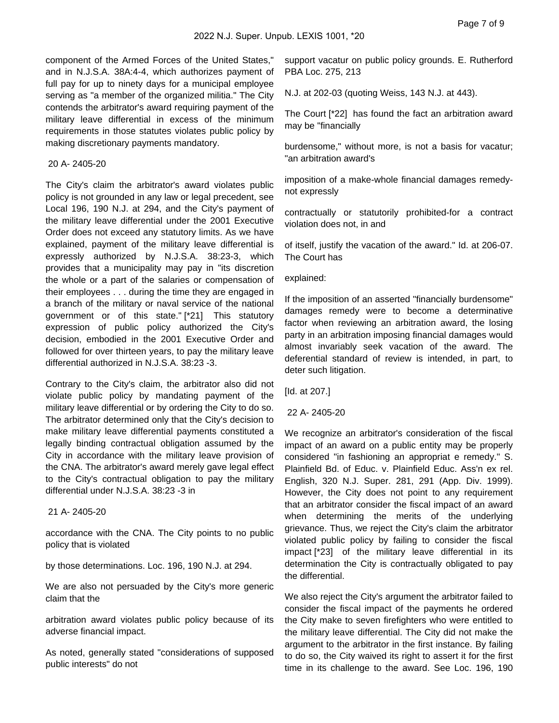component of the Armed Forces of the United States," and in N.J.S.A. 38A:4-4, which authorizes payment of full pay for up to ninety days for a municipal employee serving as "a member of the organized militia." The City contends the arbitrator's award requiring payment of the military leave differential in excess of the minimum requirements in those statutes violates public policy by making discretionary payments mandatory.

#### 20 A- 2405-20

The City's claim the arbitrator's award violates public policy is not grounded in any law or legal precedent, see Local 196, 190 N.J. at 294, and the City's payment of the military leave differential under the 2001 Executive Order does not exceed any statutory limits. As we have explained, payment of the military leave differential is expressly authorized by N.J.S.A. 38:23-3, which provides that a municipality may pay in "its discretion the whole or a part of the salaries or compensation of their employees . . . during the time they are engaged in a branch of the military or naval service of the national government or of this state." [\*21] This statutory expression of public policy authorized the City's decision, embodied in the 2001 Executive Order and followed for over thirteen years, to pay the military leave differential authorized in N.J.S.A. 38:23 -3.

Contrary to the City's claim, the arbitrator also did not violate public policy by mandating payment of the military leave differential or by ordering the City to do so. The arbitrator determined only that the City's decision to make military leave differential payments constituted a legally binding contractual obligation assumed by the City in accordance with the military leave provision of the CNA. The arbitrator's award merely gave legal effect to the City's contractual obligation to pay the military differential under N.J.S.A. 38:23 -3 in

# 21 A- 2405-20

accordance with the CNA. The City points to no public policy that is violated

by those determinations. Loc. 196, 190 N.J. at 294.

We are also not persuaded by the City's more generic claim that the

arbitration award violates public policy because of its adverse financial impact.

As noted, generally stated "considerations of supposed public interests" do not

support vacatur on public policy grounds. E. Rutherford PBA Loc. 275, 213

N.J. at 202-03 (quoting Weiss, 143 N.J. at 443).

The Court [\*22] has found the fact an arbitration award may be "financially

burdensome," without more, is not a basis for vacatur; "an arbitration award's

imposition of a make-whole financial damages remedynot expressly

contractually or statutorily prohibited-for a contract violation does not, in and

of itself, justify the vacation of the award." Id. at 206-07. The Court has

explained:

If the imposition of an asserted "financially burdensome" damages remedy were to become a determinative factor when reviewing an arbitration award, the losing party in an arbitration imposing financial damages would almost invariably seek vacation of the award. The deferential standard of review is intended, in part, to deter such litigation.

[Id. at 207.]

22 A- 2405-20

We recognize an arbitrator's consideration of the fiscal impact of an award on a public entity may be properly considered "in fashioning an appropriat e remedy." S. Plainfield Bd. of Educ. v. Plainfield Educ. Ass'n ex rel. English, 320 N.J. Super. 281, 291 (App. Div. 1999). However, the City does not point to any requirement that an arbitrator consider the fiscal impact of an award when determining the merits of the underlying grievance. Thus, we reject the City's claim the arbitrator violated public policy by failing to consider the fiscal impact [\*23] of the military leave differential in its determination the City is contractually obligated to pay the differential.

We also reject the City's argument the arbitrator failed to consider the fiscal impact of the payments he ordered the City make to seven firefighters who were entitled to the military leave differential. The City did not make the argument to the arbitrator in the first instance. By failing to do so, the City waived its right to assert it for the first time in its challenge to the award. See Loc. 196, 190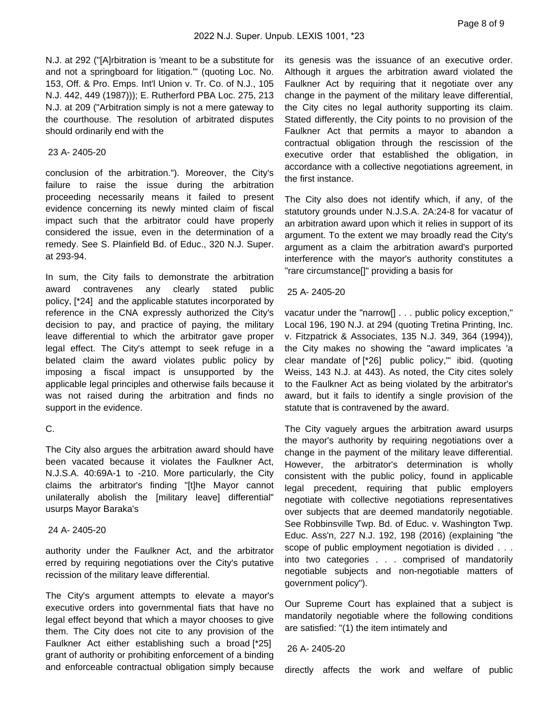N.J. at 292 ("[A]rbitration is 'meant to be a substitute for and not a springboard for litigation.'" (quoting Loc. No. 153, Off. & Pro. Emps. Int'l Union v. Tr. Co. of N.J., 105 N.J. 442, 449 (1987))); E. Rutherford PBA Loc. 275, 213 N.J. at 209 ("Arbitration simply is not a mere gateway to the courthouse. The resolution of arbitrated disputes should ordinarily end with the

## 23 A- 2405-20

conclusion of the arbitration."). Moreover, the City's failure to raise the issue during the arbitration proceeding necessarily means it failed to present evidence concerning its newly minted claim of fiscal impact such that the arbitrator could have properly considered the issue, even in the determination of a remedy. See S. Plainfield Bd. of Educ., 320 N.J. Super. at 293-94.

In sum, the City fails to demonstrate the arbitration award contravenes any clearly stated public policy, [\*24] and the applicable statutes incorporated by reference in the CNA expressly authorized the City's decision to pay, and practice of paying, the military leave differential to which the arbitrator gave proper legal effect. The City's attempt to seek refuge in a belated claim the award violates public policy by imposing a fiscal impact is unsupported by the applicable legal principles and otherwise fails because it was not raised during the arbitration and finds no support in the evidence.

# C.

The City also argues the arbitration award should have been vacated because it violates the Faulkner Act, N.J.S.A. 40:69A-1 to -210. More particularly, the City claims the arbitrator's finding "[t]he Mayor cannot unilaterally abolish the [military leave] differential" usurps Mayor Baraka's

### 24 A- 2405-20

authority under the Faulkner Act, and the arbitrator erred by requiring negotiations over the City's putative recission of the military leave differential.

The City's argument attempts to elevate a mayor's executive orders into governmental fiats that have no legal effect beyond that which a mayor chooses to give them. The City does not cite to any provision of the Faulkner Act either establishing such a broad [\*25] grant of authority or prohibiting enforcement of a binding and enforceable contractual obligation simply because its genesis was the issuance of an executive order. Although it argues the arbitration award violated the Faulkner Act by requiring that it negotiate over any change in the payment of the military leave differential, the City cites no legal authority supporting its claim. Stated differently, the City points to no provision of the Faulkner Act that permits a mayor to abandon a contractual obligation through the rescission of the executive order that established the obligation, in accordance with a collective negotiations agreement, in the first instance.

The City also does not identify which, if any, of the statutory grounds under N.J.S.A. 2A:24-8 for vacatur of an arbitration award upon which it relies in support of its argument. To the extent we may broadly read the City's argument as a claim the arbitration award's purported interference with the mayor's authority constitutes a "rare circumstance[]" providing a basis for

## 25 A- 2405-20

vacatur under the "narrow[] . . . public policy exception," Local 196, 190 N.J. at 294 (quoting Tretina Printing, Inc. v. Fitzpatrick & Associates, 135 N.J. 349, 364 (1994)), the City makes no showing the "award implicates 'a clear mandate of [\*26] public policy,'" ibid. (quoting Weiss, 143 N.J. at 443). As noted, the City cites solely to the Faulkner Act as being violated by the arbitrator's award, but it fails to identify a single provision of the statute that is contravened by the award.

The City vaguely argues the arbitration award usurps the mayor's authority by requiring negotiations over a change in the payment of the military leave differential. However, the arbitrator's determination is wholly consistent with the public policy, found in applicable legal precedent, requiring that public employers negotiate with collective negotiations representatives over subjects that are deemed mandatorily negotiable. See Robbinsville Twp. Bd. of Educ. v. Washington Twp. Educ. Ass'n, 227 N.J. 192, 198 (2016) (explaining "the scope of public employment negotiation is divided . . . into two categories . . . comprised of mandatorily negotiable subjects and non-negotiable matters of government policy").

Our Supreme Court has explained that a subject is mandatorily negotiable where the following conditions are satisfied: "(1) the item intimately and

### 26 A- 2405-20

directly affects the work and welfare of public